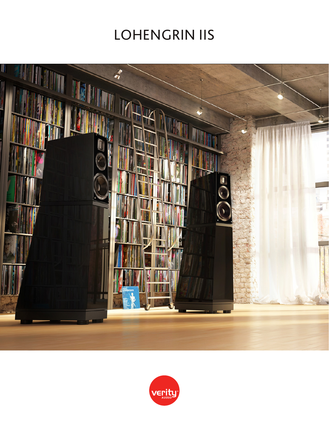# **LOHENGRIN IIS**



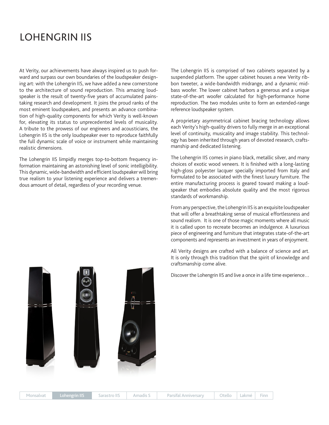## LOHENGRIN IIS

At Verity, our achievements have always inspired us to push forward and surpass our own boundaries of the loudspeaker designing art: with the Lohengrin IIS, we have added a new cornerstone to the architecture of sound reproduction. This amazing loudspeaker is the result of twenty-five years of accumulated painstaking research and development. It joins the proud ranks of the most eminent loudspeakers, and presents an advance combination of high-quality components for which Verity is well-known for, elevating its status to unprecedented levels of musicality. A tribute to the prowess of our engineers and acousticians, the Lohengrin IIS is the only loudspeaker ever to reproduce faithfully the full dynamic scale of voice or instrument while maintaining realistic dimensions.

The Lohengrin IIS limpidly merges top-to-bottom frequency information maintaining an astonishing level of sonic intelligibility. This dynamic, wide-bandwidth and efficient loudspeaker will bring true realism to your listening experience and delivers a tremendous amount of detail, regardless of your recording venue.

The Lohengrin IIS is comprised of two cabinets separated by a suspended platform. The upper cabinet houses a new Verity ribbon tweeter, a wide-bandwidth midrange, and a dynamic midbass woofer. The lower cabinet harbors a generous and a unique state-of-the-art woofer calculated for high-performance home reproduction. The two modules unite to form an extended-range reference loudspeaker system.

A proprietary asymmetrical cabinet bracing technology allows each Verity's high-quality drivers to fully merge in an exceptional level of continuity, musicality and image stability. This technology has been inherited through years of devoted research, craftsmanship and dedicated listening.

The Lohengrin IIS comes in piano black, metallic silver, and many choices of exotic wood veneers. It is finished with a long-lasting high-gloss polyester lacquer specially imported from Italy and formulated to be associated with the finest luxury furniture. The entire manufacturing process is geared toward making a loudspeaker that embodies absolute quality and the most rigorous standards of workmanship.

From any perspective, the Lohengrin IIS is an exquisite loudspeaker that will offer a breathtaking sense of musical effortlessness and sound realism. It is one of those magic moments where all music it is called upon to recreate becomes an indulgence. A luxurious piece of engineering and furniture that integrates state-of-the-art components and represents an investment in years of enjoyment.

All Verity designs are crafted with a balance of science and art. It is only through this tradition that the spirit of knowledge and craftsmanship come alive.

Discover the Lohengrin IIS and live a once in a life time experience…

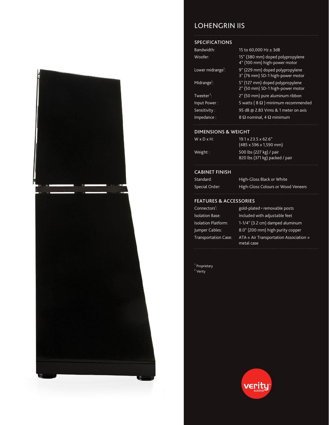

### LOHENGRIN IIS

#### SPECIFICATIONS

| Bandwidth:                    | 15 to 60,000 Hz ± 3dB                                               |
|-------------------------------|---------------------------------------------------------------------|
| Woofer:                       | 15" (380 mm) doped polypropylene<br>4" (100 mm) high-power motor    |
| Lower midrange <sup>1</sup> : | 9" (229 mm) doped polypropylene<br>3" (76 mm) SD-1 high-power motor |
| Midrange <sup>1</sup> :       | 5" (127 mm) doped polypropylene<br>2" (50 mm) SD-1 high-power motor |
| Tweeter <sup>2</sup> :        | 2" (50 mm) pure aluminum ribbon                                     |
| Input Power:                  | 5 watts ( $8 \Omega$ ) minimum recommended                          |
| Sensitivity:                  | 95 dB @ 2.83 Vrms & 1 meter on axis                                 |
| Impedance:                    | 8 $\Omega$ nominal, 4 $\Omega$ minimum                              |

#### DIMENSIONS & WEIGHT

| $W \times D \times H$ : | $19.1 \times 23.5 \times 62.6$ "<br>$(485 \times 596 \times 1,590 \text{ mm})$ |
|-------------------------|--------------------------------------------------------------------------------|
| Weight:                 | 500 lbs (227 kg) / pair<br>820 lbs (371 kg) packed                             |

#### CABINET FINISH

| Standard:      | High-Gloss Black or White          |
|----------------|------------------------------------|
| Special Order: | High-Gloss Colours or Wood Veneers |

pair

#### FEATURES & ACCESSORIES

| Connectors <sup>1</sup> :  | gold-plated • removable posts                        |
|----------------------------|------------------------------------------------------|
| <b>Isolation Base:</b>     | Included with adjustable feet                        |
| <b>Isolation Platform:</b> | 1-1/4" (3.2 cm) damped aluminum                      |
| Jumper Cables:             | 8.0" (200 mm) high purity copper                     |
| Transportation Case:       | ATA « Air Transportation Association »<br>metal case |
|                            |                                                      |

<sup>1</sup> Proprietary <sup>2</sup> Verity